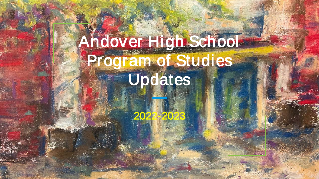# Andover High School Program of Studies **Updates**

2022-2023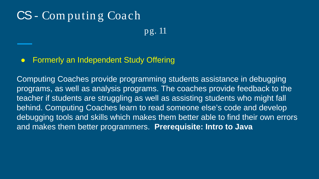### CS - Com putin g Coach

pg. 11

#### ● Formerly an Independent Study Offering

Computing Coaches provide programming students assistance in debugging programs, as well as analysis programs. The coaches provide feedback to the teacher if students are struggling as well as assisting students who might fall behind. Computing Coaches learn to read someone else's code and develop debugging tools and skills which makes them better able to find their own errors and makes them better programmers. **Prerequisite: Intro to Java**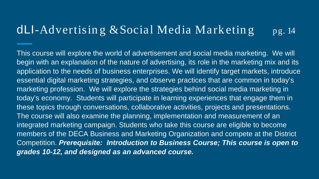#### dLI-Advertising  $& Social Media Marketing$  pg. 14

This course will explore the world of advertisement and social media marketing. We will begin with an explanation of the nature of advertising, its role in the marketing mix and its application to the needs of business enterprises. We will identify target markets, introduce essential digital marketing strategies, and observe practices that are common in today's marketing profession. We will explore the strategies behind social media marketing in today's economy. Students will participate in learning experiences that engage them in these topics through conversations, collaborative activities, projects and presentations. The course will also examine the planning, implementation and measurement of an integrated marketing campaign. Students who take this course are eligible to become members of the DECA Business and Marketing Organization and compete at the District Competition. *Prerequisite: Introduction to Business Course; This course is open to grades 10-12, and designed as an advanced course.*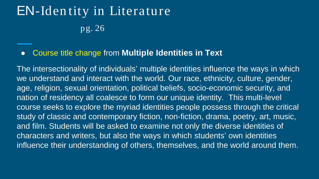# EN-Iden tity in Literature pg. 26

#### ● Course title change from **Multiple Identities in Text**

The intersectionality of individuals' multiple identities influence the ways in which we understand and interact with the world. Our race, ethnicity, culture, gender, age, religion, sexual orientation, political beliefs, socio-economic security, and nation of residency all coalesce to form our unique identity. This multi-level course seeks to explore the myriad identities people possess through the critical study of classic and contemporary fiction, non-fiction, drama, poetry, art, music, and film. Students will be asked to examine not only the diverse identities of characters and writers, but also the ways in which students' own identities influence their understanding of others, themselves, and the world around them.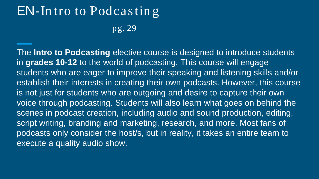### EN-In tro to Podcastin g

pg. 29

The **Intro to Podcasting** elective course is designed to introduce students in **grades 10-12** to the world of podcasting. This course will engage students who are eager to improve their speaking and listening skills and/or establish their interests in creating their own podcasts. However, this course is not just for students who are outgoing and desire to capture their own voice through podcasting. Students will also learn what goes on behind the scenes in podcast creation, including audio and sound production, editing, script writing, branding and marketing, research, and more. Most fans of podcasts only consider the host/s, but in reality, it takes an entire team to execute a quality audio show.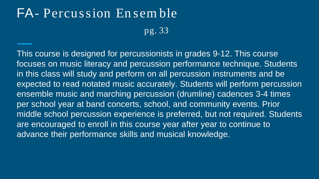# FA- Percussion En sem ble

pg. 33

This course is designed for percussionists in grades 9-12. This course focuses on music literacy and percussion performance technique. Students in this class will study and perform on all percussion instruments and be expected to read notated music accurately. Students will perform percussion ensemble music and marching percussion (drumline) cadences 3-4 times per school year at band concerts, school, and community events. Prior middle school percussion experience is preferred, but not required. Students are encouraged to enroll in this course year after year to continue to advance their performance skills and musical knowledge.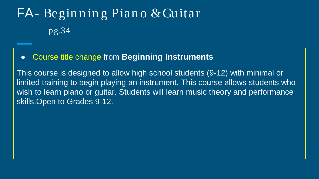# FA- Begin n in g Pian o & Guitar pg.34

#### ● Course title change from **Beginning Instruments**

This course is designed to allow high school students (9-12) with minimal or limited training to begin playing an instrument. This course allows students who wish to learn piano or guitar. Students will learn music theory and performance skills.Open to Grades 9-12.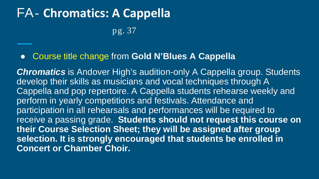### FA- **Chromatics: A Cappella** pg. 37

#### ● Course title change from **Gold N'Blues A Cappella**

**Chromatics** is Andover High's audition-only A Cappella group. Students develop their skills as musicians and vocal techniques through A Cappella and pop repertoire. A Cappella students rehearse weekly and perform in yearly competitions and festivals. Attendance and participation in all rehearsals and performances will be required to receive a passing grade. **Students should not request this course on their Course Selection Sheet; they will be assigned after group selection. It is strongly encouraged that students be enrolled in Concert or Chamber Choir.**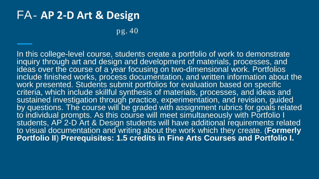### FA- **AP 2-D Art & Design**

pg. 40

In this college-level course, students create a portfolio of work to demonstrate inquiry through art and design and development of materials, processes, and ideas over the course of a year focusing on two-dimensional work. Portfolios include finished works, process documentation, and written information about the work presented. Students submit portfolios for evaluation based on specific criteria, which include skillful synthesis of materials, processes, and ideas and sustained investigation through practice, experimentation, and revision, guided by questions. The course will be graded with assignment rubrics for goals related to individual prompts. As this course will meet simultaneously with Portfolio I students, AP 2-D Art & Design students will have additional requirements related to visual documentation and writing about the work which they create. (**Formerly Portfolio II) Prerequisites: 1.5 credits in Fine Arts Courses and Portfolio I.**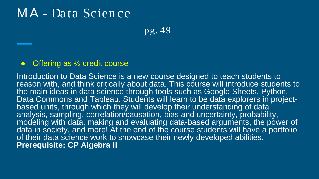### MA - Data Scien ce

pg. 49

#### Offering as  $\frac{1}{2}$  credit course

Introduction to Data Science is a new course designed to teach students to reason with, and think critically about data. This course will introduce students to the main ideas in data science through tools such as Google Sheets, Python,<br>Data Commons and Tableau. Students will learn to be data explorers in projectbased units, through which they will develop their understanding of data analysis, sampling, correlation/causation, bias and uncertainty, probability, modeling with data, making and evaluating data-based arguments, the power of data in society, and more! At the end of the course students will have a portfolio of their data science work to showcase their newly developed abilities. **Prerequisite: CP Algebra II**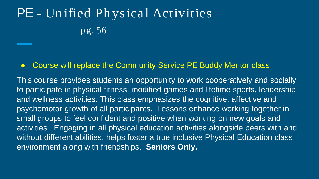# PE - Un ified Physical Activities pg. 56

#### ● Course will replace the Community Service PE Buddy Mentor class

This course provides students an opportunity to work cooperatively and socially to participate in physical fitness, modified games and lifetime sports, leadership and wellness activities. This class emphasizes the cognitive, affective and psychomotor growth of all participants. Lessons enhance working together in small groups to feel confident and positive when working on new goals and activities. Engaging in all physical education activities alongside peers with and without different abilities, helps foster a true inclusive Physical Education class environment along with friendships. **Seniors Only.**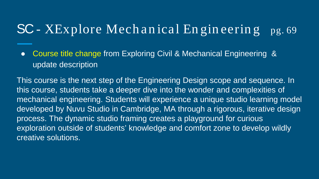### $SC - XExplore Mechanical Engineering$  pg. 69

● Course title change from Exploring Civil & Mechanical Engineering & update description

This course is the next step of the Engineering Design scope and sequence. In this course, students take a deeper dive into the wonder and complexities of mechanical engineering. Students will experience a unique studio learning model developed by Nuvu Studio in Cambridge, MA through a rigorous, iterative design process. The dynamic studio framing creates a playground for curious exploration outside of students' knowledge and comfort zone to develop wildly creative solutions.